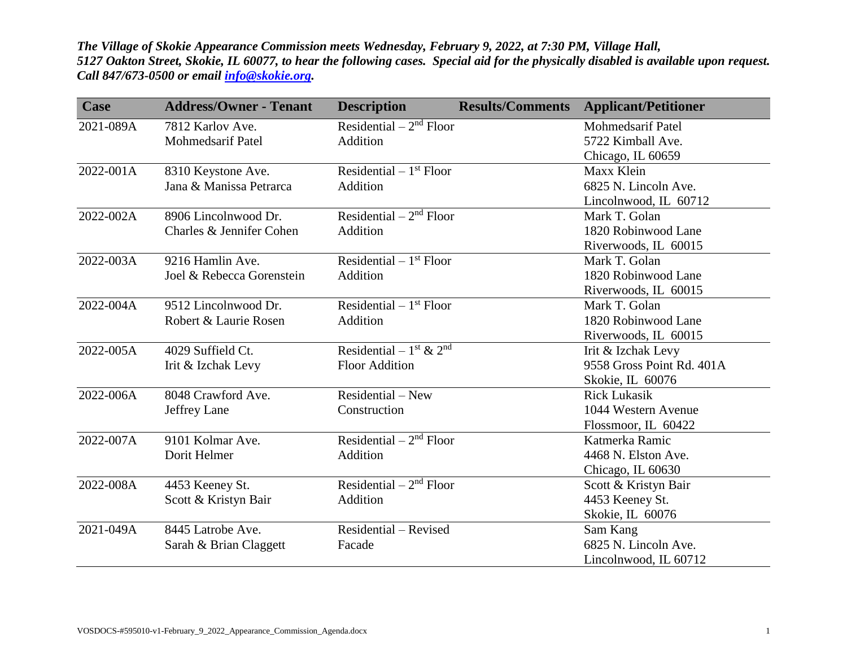*The Village of Skokie Appearance Commission meets Wednesday, February 9, 2022, at 7:30 PM, Village Hall, 5127 Oakton Street, Skokie, IL 60077, to hear the following cases. Special aid for the physically disabled is available upon request. Call 847/673-0500 or email [info@skokie.org.](mailto:info@skokie.org)*

| <b>Case</b> | <b>Address/Owner - Tenant</b> | <b>Description</b>                | <b>Results/Comments</b> | <b>Applicant/Petitioner</b> |
|-------------|-------------------------------|-----------------------------------|-------------------------|-----------------------------|
| 2021-089A   | 7812 Karlov Ave.              | Residential $-2nd$ Floor          |                         | <b>Mohmedsarif Patel</b>    |
|             | <b>Mohmedsarif Patel</b>      | Addition                          |                         | 5722 Kimball Ave.           |
|             |                               |                                   |                         | Chicago, IL 60659           |
| 2022-001A   | 8310 Keystone Ave.            | Residential $-1st$ Floor          |                         | Maxx Klein                  |
|             | Jana & Manissa Petrarca       | Addition                          |                         | 6825 N. Lincoln Ave.        |
|             |                               |                                   |                         | Lincolnwood, IL 60712       |
| 2022-002A   | 8906 Lincolnwood Dr.          | Residential $-2nd$ Floor          |                         | Mark T. Golan               |
|             | Charles & Jennifer Cohen      | Addition                          |                         | 1820 Robinwood Lane         |
|             |                               |                                   |                         | Riverwoods, IL 60015        |
| 2022-003A   | 9216 Hamlin Ave.              | Residential $-1st$ Floor          |                         | Mark T. Golan               |
|             | Joel & Rebecca Gorenstein     | Addition                          |                         | 1820 Robinwood Lane         |
|             |                               |                                   |                         | Riverwoods, IL 60015        |
| 2022-004A   | 9512 Lincolnwood Dr.          | Residential $-1st$ Floor          |                         | Mark T. Golan               |
|             | Robert & Laurie Rosen         | Addition                          |                         | 1820 Robinwood Lane         |
|             |                               |                                   |                         | Riverwoods, IL 60015        |
| 2022-005A   | 4029 Suffield Ct.             | Residential – $1^{st}$ & $2^{nd}$ |                         | Irit & Izchak Levy          |
|             | Irit & Izchak Levy            | <b>Floor Addition</b>             |                         | 9558 Gross Point Rd. 401A   |
|             |                               |                                   |                         | Skokie, IL 60076            |
| 2022-006A   | 8048 Crawford Ave.            | $Residental - New$                |                         | <b>Rick Lukasik</b>         |
|             | Jeffrey Lane                  | Construction                      |                         | 1044 Western Avenue         |
|             |                               |                                   |                         | Flossmoor, IL 60422         |
| 2022-007A   | 9101 Kolmar Ave.              | Residential $-2nd$ Floor          |                         | Katmerka Ramic              |
|             | Dorit Helmer                  | Addition                          |                         | 4468 N. Elston Ave.         |
|             |                               |                                   |                         | Chicago, IL 60630           |
| 2022-008A   | 4453 Keeney St.               | Residential $-2nd$ Floor          |                         | Scott & Kristyn Bair        |
|             | Scott & Kristyn Bair          | Addition                          |                         | 4453 Keeney St.             |
|             |                               |                                   |                         | Skokie, IL 60076            |
| 2021-049A   | 8445 Latrobe Ave.             | Residential - Revised             |                         | Sam Kang                    |
|             | Sarah & Brian Claggett        | Facade                            |                         | 6825 N. Lincoln Ave.        |
|             |                               |                                   |                         | Lincolnwood, IL 60712       |